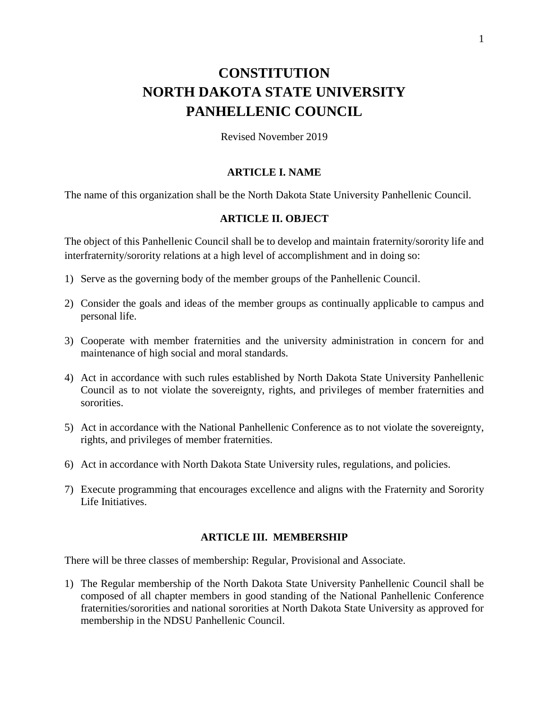# **CONSTITUTION NORTH DAKOTA STATE UNIVERSITY PANHELLENIC COUNCIL**

Revised November 2019

#### **ARTICLE I. NAME**

The name of this organization shall be the North Dakota State University Panhellenic Council.

### **ARTICLE II. OBJECT**

The object of this Panhellenic Council shall be to develop and maintain fraternity/sorority life and interfraternity/sorority relations at a high level of accomplishment and in doing so:

- 1) Serve as the governing body of the member groups of the Panhellenic Council.
- 2) Consider the goals and ideas of the member groups as continually applicable to campus and personal life.
- 3) Cooperate with member fraternities and the university administration in concern for and maintenance of high social and moral standards.
- 4) Act in accordance with such rules established by North Dakota State University Panhellenic Council as to not violate the sovereignty, rights, and privileges of member fraternities and sororities.
- 5) Act in accordance with the National Panhellenic Conference as to not violate the sovereignty, rights, and privileges of member fraternities.
- 6) Act in accordance with North Dakota State University rules, regulations, and policies.
- 7) Execute programming that encourages excellence and aligns with the Fraternity and Sorority Life Initiatives.

#### **ARTICLE III. MEMBERSHIP**

There will be three classes of membership: Regular, Provisional and Associate.

1) The Regular membership of the North Dakota State University Panhellenic Council shall be composed of all chapter members in good standing of the National Panhellenic Conference fraternities/sororities and national sororities at North Dakota State University as approved for membership in the NDSU Panhellenic Council.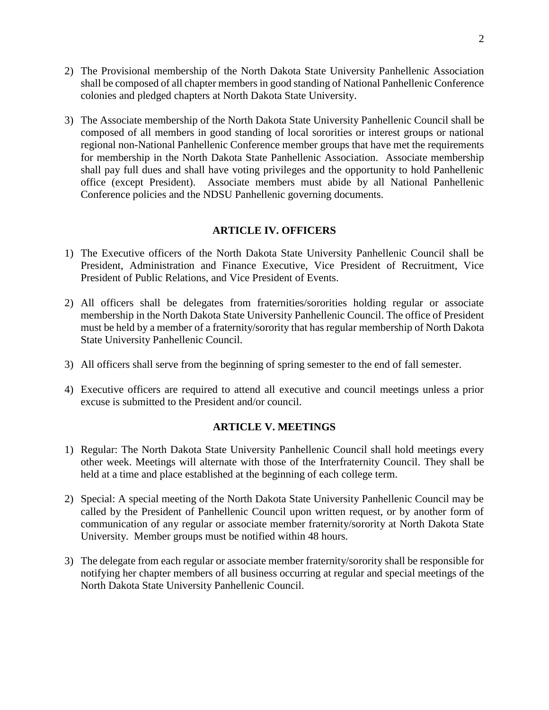- 2) The Provisional membership of the North Dakota State University Panhellenic Association shall be composed of all chapter members in good standing of National Panhellenic Conference colonies and pledged chapters at North Dakota State University.
- 3) The Associate membership of the North Dakota State University Panhellenic Council shall be composed of all members in good standing of local sororities or interest groups or national regional non-National Panhellenic Conference member groups that have met the requirements for membership in the North Dakota State Panhellenic Association. Associate membership shall pay full dues and shall have voting privileges and the opportunity to hold Panhellenic office (except President). Associate members must abide by all National Panhellenic Conference policies and the NDSU Panhellenic governing documents.

#### **ARTICLE IV. OFFICERS**

- 1) The Executive officers of the North Dakota State University Panhellenic Council shall be President, Administration and Finance Executive, Vice President of Recruitment, Vice President of Public Relations, and Vice President of Events.
- 2) All officers shall be delegates from fraternities/sororities holding regular or associate membership in the North Dakota State University Panhellenic Council. The office of President must be held by a member of a fraternity/sorority that has regular membership of North Dakota State University Panhellenic Council.
- 3) All officers shall serve from the beginning of spring semester to the end of fall semester.
- 4) Executive officers are required to attend all executive and council meetings unless a prior excuse is submitted to the President and/or council.

### **ARTICLE V. MEETINGS**

- 1) Regular: The North Dakota State University Panhellenic Council shall hold meetings every other week. Meetings will alternate with those of the Interfraternity Council. They shall be held at a time and place established at the beginning of each college term.
- 2) Special: A special meeting of the North Dakota State University Panhellenic Council may be called by the President of Panhellenic Council upon written request, or by another form of communication of any regular or associate member fraternity/sorority at North Dakota State University. Member groups must be notified within 48 hours.
- 3) The delegate from each regular or associate member fraternity/sorority shall be responsible for notifying her chapter members of all business occurring at regular and special meetings of the North Dakota State University Panhellenic Council.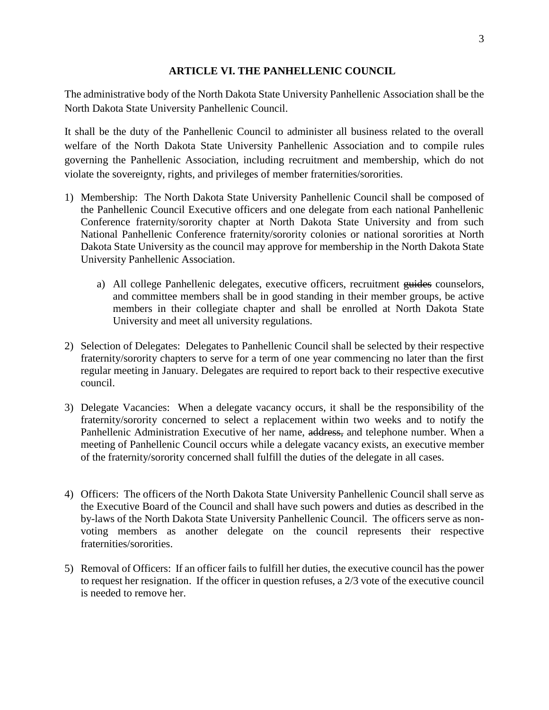#### **ARTICLE VI. THE PANHELLENIC COUNCIL**

The administrative body of the North Dakota State University Panhellenic Association shall be the North Dakota State University Panhellenic Council.

It shall be the duty of the Panhellenic Council to administer all business related to the overall welfare of the North Dakota State University Panhellenic Association and to compile rules governing the Panhellenic Association, including recruitment and membership, which do not violate the sovereignty, rights, and privileges of member fraternities/sororities.

- 1) Membership: The North Dakota State University Panhellenic Council shall be composed of the Panhellenic Council Executive officers and one delegate from each national Panhellenic Conference fraternity/sorority chapter at North Dakota State University and from such National Panhellenic Conference fraternity/sorority colonies or national sororities at North Dakota State University as the council may approve for membership in the North Dakota State University Panhellenic Association.
	- a) All college Panhellenic delegates, executive officers, recruitment guides counselors, and committee members shall be in good standing in their member groups, be active members in their collegiate chapter and shall be enrolled at North Dakota State University and meet all university regulations.
- 2) Selection of Delegates: Delegates to Panhellenic Council shall be selected by their respective fraternity/sorority chapters to serve for a term of one year commencing no later than the first regular meeting in January. Delegates are required to report back to their respective executive council.
- 3) Delegate Vacancies: When a delegate vacancy occurs, it shall be the responsibility of the fraternity/sorority concerned to select a replacement within two weeks and to notify the Panhellenic Administration Executive of her name, address, and telephone number. When a meeting of Panhellenic Council occurs while a delegate vacancy exists, an executive member of the fraternity/sorority concerned shall fulfill the duties of the delegate in all cases.
- 4) Officers: The officers of the North Dakota State University Panhellenic Council shall serve as the Executive Board of the Council and shall have such powers and duties as described in the by-laws of the North Dakota State University Panhellenic Council. The officers serve as nonvoting members as another delegate on the council represents their respective fraternities/sororities.
- 5) Removal of Officers: If an officer fails to fulfill her duties, the executive council has the power to request her resignation. If the officer in question refuses, a 2/3 vote of the executive council is needed to remove her.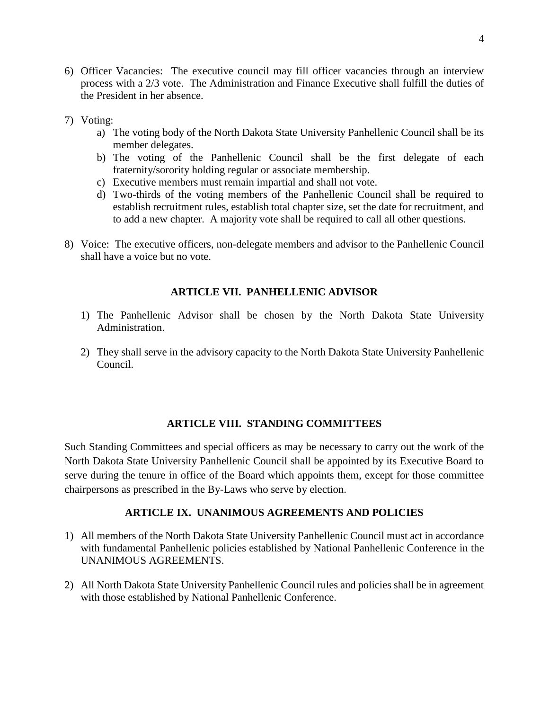- 6) Officer Vacancies: The executive council may fill officer vacancies through an interview process with a 2/3 vote. The Administration and Finance Executive shall fulfill the duties of the President in her absence.
- 7) Voting:
	- a) The voting body of the North Dakota State University Panhellenic Council shall be its member delegates.
	- b) The voting of the Panhellenic Council shall be the first delegate of each fraternity/sorority holding regular or associate membership.
	- c) Executive members must remain impartial and shall not vote.
	- d) Two-thirds of the voting members of the Panhellenic Council shall be required to establish recruitment rules, establish total chapter size, set the date for recruitment, and to add a new chapter. A majority vote shall be required to call all other questions.
- 8) Voice: The executive officers, non-delegate members and advisor to the Panhellenic Council shall have a voice but no vote.

## **ARTICLE VII. PANHELLENIC ADVISOR**

- 1) The Panhellenic Advisor shall be chosen by the North Dakota State University Administration.
- 2) They shall serve in the advisory capacity to the North Dakota State University Panhellenic Council.

## **ARTICLE VIII. STANDING COMMITTEES**

Such Standing Committees and special officers as may be necessary to carry out the work of the North Dakota State University Panhellenic Council shall be appointed by its Executive Board to serve during the tenure in office of the Board which appoints them, except for those committee chairpersons as prescribed in the By-Laws who serve by election.

### **ARTICLE IX. UNANIMOUS AGREEMENTS AND POLICIES**

- 1) All members of the North Dakota State University Panhellenic Council must act in accordance with fundamental Panhellenic policies established by National Panhellenic Conference in the UNANIMOUS AGREEMENTS.
- 2) All North Dakota State University Panhellenic Council rules and policies shall be in agreement with those established by National Panhellenic Conference.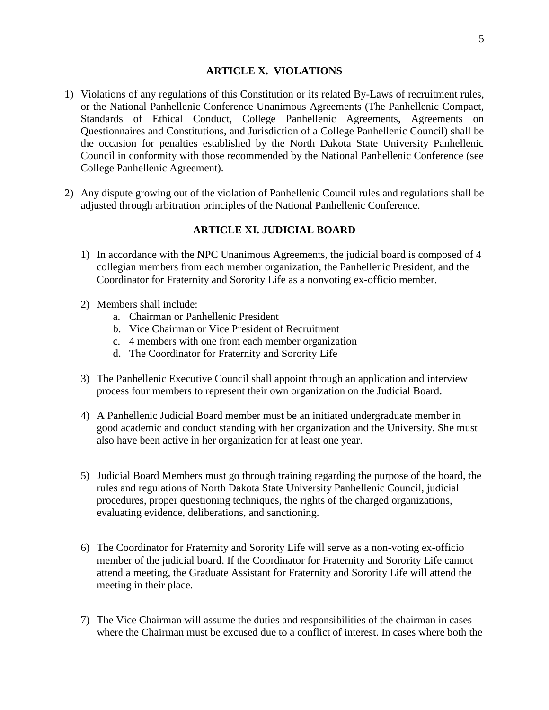### **ARTICLE X. VIOLATIONS**

- 1) Violations of any regulations of this Constitution or its related By-Laws of recruitment rules, or the National Panhellenic Conference Unanimous Agreements (The Panhellenic Compact, Standards of Ethical Conduct, College Panhellenic Agreements, Agreements on Questionnaires and Constitutions, and Jurisdiction of a College Panhellenic Council) shall be the occasion for penalties established by the North Dakota State University Panhellenic Council in conformity with those recommended by the National Panhellenic Conference (see College Panhellenic Agreement).
- 2) Any dispute growing out of the violation of Panhellenic Council rules and regulations shall be adjusted through arbitration principles of the National Panhellenic Conference.

## **ARTICLE XI. JUDICIAL BOARD**

- 1) In accordance with the NPC Unanimous Agreements, the judicial board is composed of 4 collegian members from each member organization, the Panhellenic President, and the Coordinator for Fraternity and Sorority Life as a nonvoting ex-officio member.
- 2) Members shall include:
	- a. Chairman or Panhellenic President
	- b. Vice Chairman or Vice President of Recruitment
	- c. 4 members with one from each member organization
	- d. The Coordinator for Fraternity and Sorority Life
- 3) The Panhellenic Executive Council shall appoint through an application and interview process four members to represent their own organization on the Judicial Board.
- 4) A Panhellenic Judicial Board member must be an initiated undergraduate member in good academic and conduct standing with her organization and the University. She must also have been active in her organization for at least one year.
- 5) Judicial Board Members must go through training regarding the purpose of the board, the rules and regulations of North Dakota State University Panhellenic Council, judicial procedures, proper questioning techniques, the rights of the charged organizations, evaluating evidence, deliberations, and sanctioning.
- 6) The Coordinator for Fraternity and Sorority Life will serve as a non-voting ex-officio member of the judicial board. If the Coordinator for Fraternity and Sorority Life cannot attend a meeting, the Graduate Assistant for Fraternity and Sorority Life will attend the meeting in their place.
- 7) The Vice Chairman will assume the duties and responsibilities of the chairman in cases where the Chairman must be excused due to a conflict of interest. In cases where both the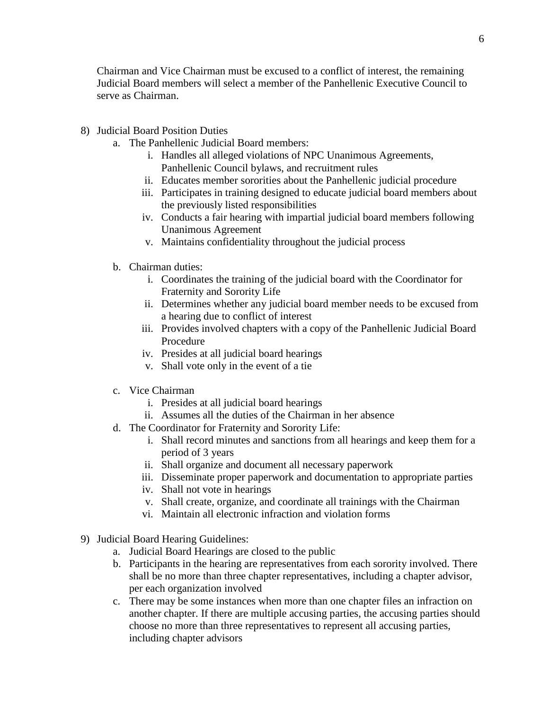Chairman and Vice Chairman must be excused to a conflict of interest, the remaining Judicial Board members will select a member of the Panhellenic Executive Council to serve as Chairman.

- 8) Judicial Board Position Duties
	- a. The Panhellenic Judicial Board members:
		- i. Handles all alleged violations of NPC Unanimous Agreements, Panhellenic Council bylaws, and recruitment rules
		- ii. Educates member sororities about the Panhellenic judicial procedure
		- iii. Participates in training designed to educate judicial board members about the previously listed responsibilities
		- iv. Conducts a fair hearing with impartial judicial board members following Unanimous Agreement
		- v. Maintains confidentiality throughout the judicial process
	- b. Chairman duties:
		- i. Coordinates the training of the judicial board with the Coordinator for Fraternity and Sorority Life
		- ii. Determines whether any judicial board member needs to be excused from a hearing due to conflict of interest
		- iii. Provides involved chapters with a copy of the Panhellenic Judicial Board Procedure
		- iv. Presides at all judicial board hearings
		- v. Shall vote only in the event of a tie
	- c. Vice Chairman
		- i. Presides at all judicial board hearings
		- ii. Assumes all the duties of the Chairman in her absence
	- d. The Coordinator for Fraternity and Sorority Life:
		- i. Shall record minutes and sanctions from all hearings and keep them for a period of 3 years
		- ii. Shall organize and document all necessary paperwork
		- iii. Disseminate proper paperwork and documentation to appropriate parties
		- iv. Shall not vote in hearings
		- v. Shall create, organize, and coordinate all trainings with the Chairman
		- vi. Maintain all electronic infraction and violation forms
- 9) Judicial Board Hearing Guidelines:
	- a. Judicial Board Hearings are closed to the public
	- b. Participants in the hearing are representatives from each sorority involved. There shall be no more than three chapter representatives, including a chapter advisor, per each organization involved
	- c. There may be some instances when more than one chapter files an infraction on another chapter. If there are multiple accusing parties, the accusing parties should choose no more than three representatives to represent all accusing parties, including chapter advisors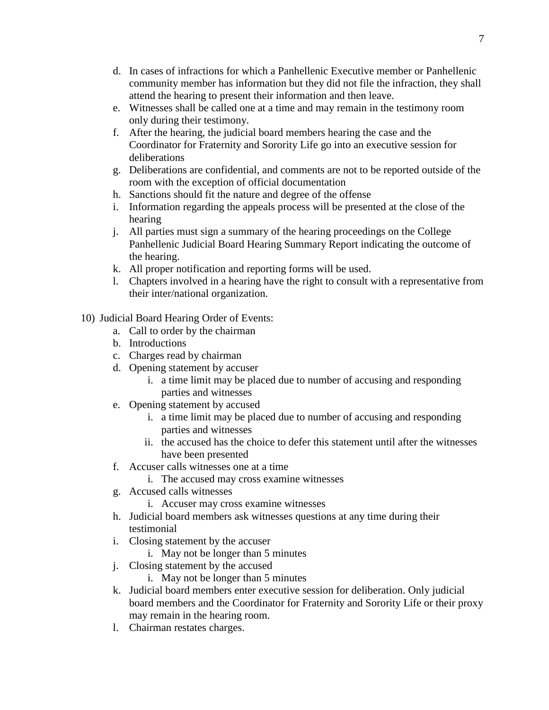- d. In cases of infractions for which a Panhellenic Executive member or Panhellenic community member has information but they did not file the infraction, they shall attend the hearing to present their information and then leave.
- e. Witnesses shall be called one at a time and may remain in the testimony room only during their testimony.
- f. After the hearing, the judicial board members hearing the case and the Coordinator for Fraternity and Sorority Life go into an executive session for deliberations
- g. Deliberations are confidential, and comments are not to be reported outside of the room with the exception of official documentation
- h. Sanctions should fit the nature and degree of the offense
- i. Information regarding the appeals process will be presented at the close of the hearing
- j. All parties must sign a summary of the hearing proceedings on the College Panhellenic Judicial Board Hearing Summary Report indicating the outcome of the hearing.
- k. All proper notification and reporting forms will be used.
- l. Chapters involved in a hearing have the right to consult with a representative from their inter/national organization.
- 10) Judicial Board Hearing Order of Events:
	- a. Call to order by the chairman
	- b. Introductions
	- c. Charges read by chairman
	- d. Opening statement by accuser
		- i. a time limit may be placed due to number of accusing and responding parties and witnesses
	- e. Opening statement by accused
		- i. a time limit may be placed due to number of accusing and responding parties and witnesses
		- ii. the accused has the choice to defer this statement until after the witnesses have been presented
	- f. Accuser calls witnesses one at a time
		- i. The accused may cross examine witnesses
	- g. Accused calls witnesses
		- i. Accuser may cross examine witnesses
	- h. Judicial board members ask witnesses questions at any time during their testimonial
	- i. Closing statement by the accuser
		- i. May not be longer than 5 minutes
	- j. Closing statement by the accused
		- i. May not be longer than 5 minutes
	- k. Judicial board members enter executive session for deliberation. Only judicial board members and the Coordinator for Fraternity and Sorority Life or their proxy may remain in the hearing room.
	- l. Chairman restates charges.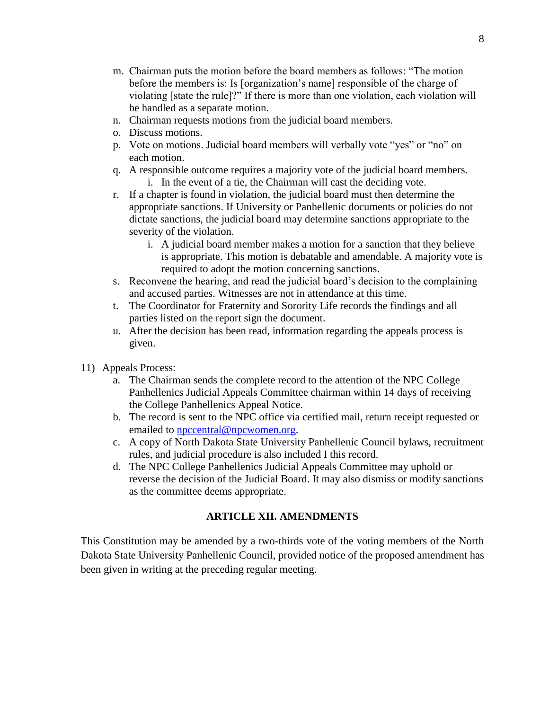- m. Chairman puts the motion before the board members as follows: "The motion before the members is: Is [organization's name] responsible of the charge of violating [state the rule]?" If there is more than one violation, each violation will be handled as a separate motion.
- n. Chairman requests motions from the judicial board members.
- o. Discuss motions.
- p. Vote on motions. Judicial board members will verbally vote "yes" or "no" on each motion.
- q. A responsible outcome requires a majority vote of the judicial board members. i. In the event of a tie, the Chairman will cast the deciding vote.
- r. If a chapter is found in violation, the judicial board must then determine the appropriate sanctions. If University or Panhellenic documents or policies do not dictate sanctions, the judicial board may determine sanctions appropriate to the severity of the violation.
	- i. A judicial board member makes a motion for a sanction that they believe is appropriate. This motion is debatable and amendable. A majority vote is required to adopt the motion concerning sanctions.
- s. Reconvene the hearing, and read the judicial board's decision to the complaining and accused parties. Witnesses are not in attendance at this time.
- t. The Coordinator for Fraternity and Sorority Life records the findings and all parties listed on the report sign the document.
- u. After the decision has been read, information regarding the appeals process is given.
- 11) Appeals Process:
	- a. The Chairman sends the complete record to the attention of the NPC College Panhellenics Judicial Appeals Committee chairman within 14 days of receiving the College Panhellenics Appeal Notice.
	- b. The record is sent to the NPC office via certified mail, return receipt requested or emailed to [npccentral@npcwomen.org.](mailto:npccentral@npcwomen.org)
	- c. A copy of North Dakota State University Panhellenic Council bylaws, recruitment rules, and judicial procedure is also included I this record.
	- d. The NPC College Panhellenics Judicial Appeals Committee may uphold or reverse the decision of the Judicial Board. It may also dismiss or modify sanctions as the committee deems appropriate.

## **ARTICLE XII. AMENDMENTS**

This Constitution may be amended by a two-thirds vote of the voting members of the North Dakota State University Panhellenic Council, provided notice of the proposed amendment has been given in writing at the preceding regular meeting.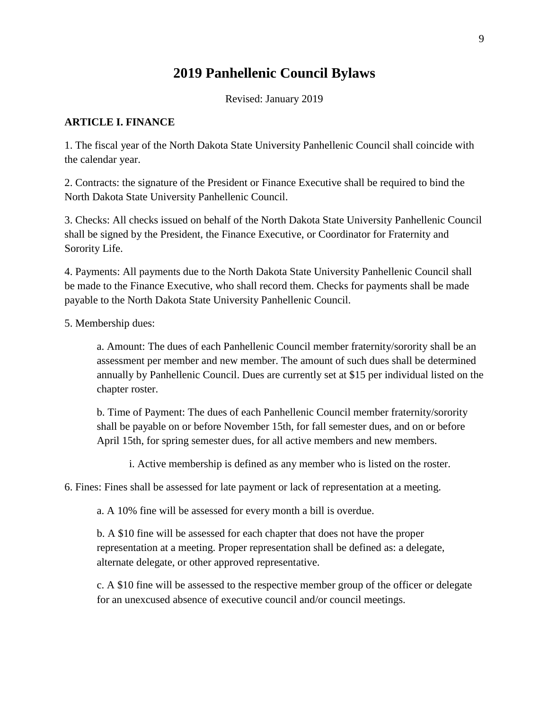# **2019 Panhellenic Council Bylaws**

Revised: January 2019

## **ARTICLE I. FINANCE**

1. The fiscal year of the North Dakota State University Panhellenic Council shall coincide with the calendar year.

2. Contracts: the signature of the President or Finance Executive shall be required to bind the North Dakota State University Panhellenic Council.

3. Checks: All checks issued on behalf of the North Dakota State University Panhellenic Council shall be signed by the President, the Finance Executive, or Coordinator for Fraternity and Sorority Life.

4. Payments: All payments due to the North Dakota State University Panhellenic Council shall be made to the Finance Executive, who shall record them. Checks for payments shall be made payable to the North Dakota State University Panhellenic Council.

5. Membership dues:

a. Amount: The dues of each Panhellenic Council member fraternity/sorority shall be an assessment per member and new member. The amount of such dues shall be determined annually by Panhellenic Council. Dues are currently set at \$15 per individual listed on the chapter roster.

b. Time of Payment: The dues of each Panhellenic Council member fraternity/sorority shall be payable on or before November 15th, for fall semester dues, and on or before April 15th, for spring semester dues, for all active members and new members.

i. Active membership is defined as any member who is listed on the roster.

6. Fines: Fines shall be assessed for late payment or lack of representation at a meeting.

a. A 10% fine will be assessed for every month a bill is overdue.

b. A \$10 fine will be assessed for each chapter that does not have the proper representation at a meeting. Proper representation shall be defined as: a delegate, alternate delegate, or other approved representative.

c. A \$10 fine will be assessed to the respective member group of the officer or delegate for an unexcused absence of executive council and/or council meetings.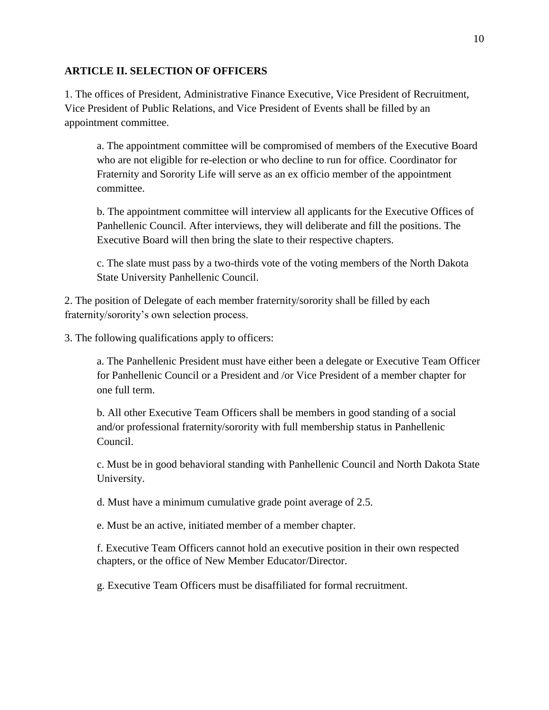### **ARTICLE II. SELECTION OF OFFICERS**

1. The offices of President, Administrative Finance Executive, Vice President of Recruitment, Vice President of Public Relations, and Vice President of Events shall be filled by an appointment committee.

a. The appointment committee will be compromised of members of the Executive Board who are not eligible for re-election or who decline to run for office. Coordinator for Fraternity and Sorority Life will serve as an ex officio member of the appointment committee.

b. The appointment committee will interview all applicants for the Executive Offices of Panhellenic Council. After interviews, they will deliberate and fill the positions. The Executive Board will then bring the slate to their respective chapters.

c. The slate must pass by a two-thirds vote of the voting members of the North Dakota State University Panhellenic Council.

2. The position of Delegate of each member fraternity/sorority shall be filled by each fraternity/sorority's own selection process.

3. The following qualifications apply to officers:

a. The Panhellenic President must have either been a delegate or Executive Team Officer for Panhellenic Council or a President and /or Vice President of a member chapter for one full term.

b. All other Executive Team Officers shall be members in good standing of a social and/or professional fraternity/sorority with full membership status in Panhellenic Council.

c. Must be in good behavioral standing with Panhellenic Council and North Dakota State University.

d. Must have a minimum cumulative grade point average of 2.5.

e. Must be an active, initiated member of a member chapter.

f. Executive Team Officers cannot hold an executive position in their own respected chapters, or the office of New Member Educator/Director.

g. Executive Team Officers must be disaffiliated for formal recruitment.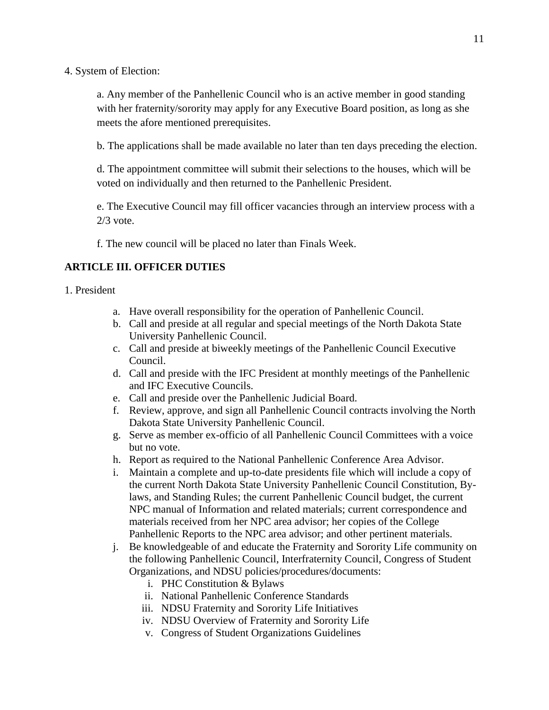4. System of Election:

a. Any member of the Panhellenic Council who is an active member in good standing with her fraternity/sorority may apply for any Executive Board position, as long as she meets the afore mentioned prerequisites.

b. The applications shall be made available no later than ten days preceding the election.

d. The appointment committee will submit their selections to the houses, which will be voted on individually and then returned to the Panhellenic President.

e. The Executive Council may fill officer vacancies through an interview process with a  $2/3$  vote.

f. The new council will be placed no later than Finals Week.

## **ARTICLE III. OFFICER DUTIES**

#### 1. President

- a. Have overall responsibility for the operation of Panhellenic Council.
- b. Call and preside at all regular and special meetings of the North Dakota State University Panhellenic Council.
- c. Call and preside at biweekly meetings of the Panhellenic Council Executive Council.
- d. Call and preside with the IFC President at monthly meetings of the Panhellenic and IFC Executive Councils.
- e. Call and preside over the Panhellenic Judicial Board.
- f. Review, approve, and sign all Panhellenic Council contracts involving the North Dakota State University Panhellenic Council.
- g. Serve as member ex-officio of all Panhellenic Council Committees with a voice but no vote.
- h. Report as required to the National Panhellenic Conference Area Advisor.
- i. Maintain a complete and up-to-date presidents file which will include a copy of the current North Dakota State University Panhellenic Council Constitution, Bylaws, and Standing Rules; the current Panhellenic Council budget, the current NPC manual of Information and related materials; current correspondence and materials received from her NPC area advisor; her copies of the College Panhellenic Reports to the NPC area advisor; and other pertinent materials.
- j. Be knowledgeable of and educate the Fraternity and Sorority Life community on the following Panhellenic Council, Interfraternity Council, Congress of Student Organizations, and NDSU policies/procedures/documents:
	- i. PHC Constitution & Bylaws
	- ii. National Panhellenic Conference Standards
	- iii. NDSU Fraternity and Sorority Life Initiatives
	- iv. NDSU Overview of Fraternity and Sorority Life
	- v. Congress of Student Organizations Guidelines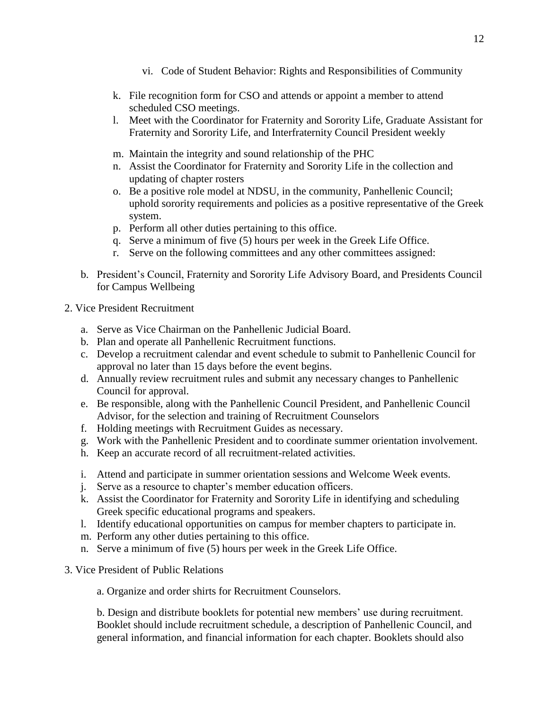- vi. Code of Student Behavior: Rights and Responsibilities of Community
- k. File recognition form for CSO and attends or appoint a member to attend scheduled CSO meetings.
- l. Meet with the Coordinator for Fraternity and Sorority Life, Graduate Assistant for Fraternity and Sorority Life, and Interfraternity Council President weekly
- m. Maintain the integrity and sound relationship of the PHC
- n. Assist the Coordinator for Fraternity and Sorority Life in the collection and updating of chapter rosters
- o. Be a positive role model at NDSU, in the community, Panhellenic Council; uphold sorority requirements and policies as a positive representative of the Greek system.
- p. Perform all other duties pertaining to this office.
- q. Serve a minimum of five (5) hours per week in the Greek Life Office.
- r. Serve on the following committees and any other committees assigned:
- b. President's Council, Fraternity and Sorority Life Advisory Board, and Presidents Council for Campus Wellbeing
- 2. Vice President Recruitment
	- a. Serve as Vice Chairman on the Panhellenic Judicial Board.
	- b. Plan and operate all Panhellenic Recruitment functions.
	- c. Develop a recruitment calendar and event schedule to submit to Panhellenic Council for approval no later than 15 days before the event begins.
	- d. Annually review recruitment rules and submit any necessary changes to Panhellenic Council for approval.
	- e. Be responsible, along with the Panhellenic Council President, and Panhellenic Council Advisor, for the selection and training of Recruitment Counselors
	- f. Holding meetings with Recruitment Guides as necessary.
	- g. Work with the Panhellenic President and to coordinate summer orientation involvement.
	- h. Keep an accurate record of all recruitment-related activities.
	- i. Attend and participate in summer orientation sessions and Welcome Week events.
	- j. Serve as a resource to chapter's member education officers.
	- k. Assist the Coordinator for Fraternity and Sorority Life in identifying and scheduling Greek specific educational programs and speakers.
	- l. Identify educational opportunities on campus for member chapters to participate in.
	- m. Perform any other duties pertaining to this office.
	- n. Serve a minimum of five (5) hours per week in the Greek Life Office.
- 3. Vice President of Public Relations

a. Organize and order shirts for Recruitment Counselors.

b. Design and distribute booklets for potential new members' use during recruitment. Booklet should include recruitment schedule, a description of Panhellenic Council, and general information, and financial information for each chapter. Booklets should also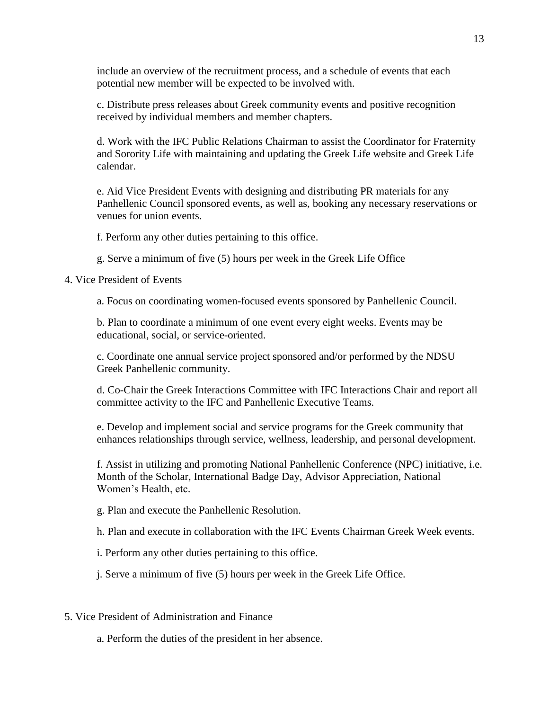include an overview of the recruitment process, and a schedule of events that each potential new member will be expected to be involved with.

c. Distribute press releases about Greek community events and positive recognition received by individual members and member chapters.

d. Work with the IFC Public Relations Chairman to assist the Coordinator for Fraternity and Sorority Life with maintaining and updating the Greek Life website and Greek Life calendar.

e. Aid Vice President Events with designing and distributing PR materials for any Panhellenic Council sponsored events, as well as, booking any necessary reservations or venues for union events.

f. Perform any other duties pertaining to this office.

g. Serve a minimum of five (5) hours per week in the Greek Life Office

4. Vice President of Events

a. Focus on coordinating women-focused events sponsored by Panhellenic Council.

b. Plan to coordinate a minimum of one event every eight weeks. Events may be educational, social, or service-oriented.

c. Coordinate one annual service project sponsored and/or performed by the NDSU Greek Panhellenic community.

d. Co-Chair the Greek Interactions Committee with IFC Interactions Chair and report all committee activity to the IFC and Panhellenic Executive Teams.

e. Develop and implement social and service programs for the Greek community that enhances relationships through service, wellness, leadership, and personal development.

f. Assist in utilizing and promoting National Panhellenic Conference (NPC) initiative, i.e. Month of the Scholar, International Badge Day, Advisor Appreciation, National Women's Health, etc.

g. Plan and execute the Panhellenic Resolution.

h. Plan and execute in collaboration with the IFC Events Chairman Greek Week events.

i. Perform any other duties pertaining to this office.

j. Serve a minimum of five (5) hours per week in the Greek Life Office.

5. Vice President of Administration and Finance

a. Perform the duties of the president in her absence.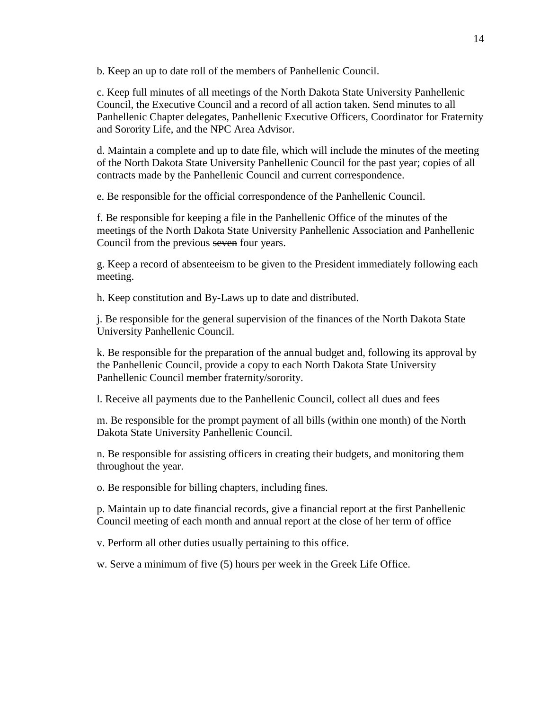b. Keep an up to date roll of the members of Panhellenic Council.

c. Keep full minutes of all meetings of the North Dakota State University Panhellenic Council, the Executive Council and a record of all action taken. Send minutes to all Panhellenic Chapter delegates, Panhellenic Executive Officers, Coordinator for Fraternity and Sorority Life, and the NPC Area Advisor.

d. Maintain a complete and up to date file, which will include the minutes of the meeting of the North Dakota State University Panhellenic Council for the past year; copies of all contracts made by the Panhellenic Council and current correspondence.

e. Be responsible for the official correspondence of the Panhellenic Council.

f. Be responsible for keeping a file in the Panhellenic Office of the minutes of the meetings of the North Dakota State University Panhellenic Association and Panhellenic Council from the previous seven four years.

g. Keep a record of absenteeism to be given to the President immediately following each meeting.

h. Keep constitution and By-Laws up to date and distributed.

j. Be responsible for the general supervision of the finances of the North Dakota State University Panhellenic Council.

k. Be responsible for the preparation of the annual budget and, following its approval by the Panhellenic Council, provide a copy to each North Dakota State University Panhellenic Council member fraternity/sorority.

l. Receive all payments due to the Panhellenic Council, collect all dues and fees

m. Be responsible for the prompt payment of all bills (within one month) of the North Dakota State University Panhellenic Council.

n. Be responsible for assisting officers in creating their budgets, and monitoring them throughout the year.

o. Be responsible for billing chapters, including fines.

p. Maintain up to date financial records, give a financial report at the first Panhellenic Council meeting of each month and annual report at the close of her term of office

v. Perform all other duties usually pertaining to this office.

w. Serve a minimum of five (5) hours per week in the Greek Life Office.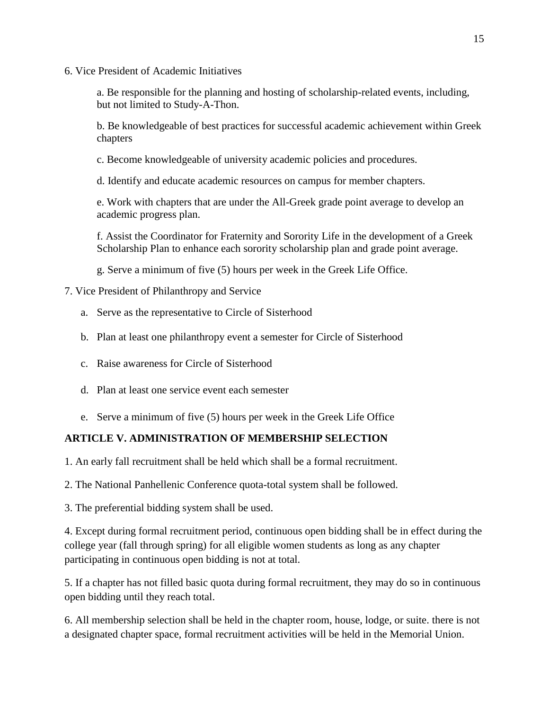6. Vice President of Academic Initiatives

a. Be responsible for the planning and hosting of scholarship-related events, including, but not limited to Study-A-Thon.

b. Be knowledgeable of best practices for successful academic achievement within Greek chapters

- c. Become knowledgeable of university academic policies and procedures.
- d. Identify and educate academic resources on campus for member chapters.

e. Work with chapters that are under the All-Greek grade point average to develop an academic progress plan.

f. Assist the Coordinator for Fraternity and Sorority Life in the development of a Greek Scholarship Plan to enhance each sorority scholarship plan and grade point average.

g. Serve a minimum of five (5) hours per week in the Greek Life Office.

## 7. Vice President of Philanthropy and Service

- a. Serve as the representative to Circle of Sisterhood
- b. Plan at least one philanthropy event a semester for Circle of Sisterhood
- c. Raise awareness for Circle of Sisterhood
- d. Plan at least one service event each semester
- e. Serve a minimum of five (5) hours per week in the Greek Life Office

## **ARTICLE V. ADMINISTRATION OF MEMBERSHIP SELECTION**

1. An early fall recruitment shall be held which shall be a formal recruitment.

2. The National Panhellenic Conference quota-total system shall be followed.

3. The preferential bidding system shall be used.

4. Except during formal recruitment period, continuous open bidding shall be in effect during the college year (fall through spring) for all eligible women students as long as any chapter participating in continuous open bidding is not at total.

5. If a chapter has not filled basic quota during formal recruitment, they may do so in continuous open bidding until they reach total.

6. All membership selection shall be held in the chapter room, house, lodge, or suite. there is not a designated chapter space, formal recruitment activities will be held in the Memorial Union.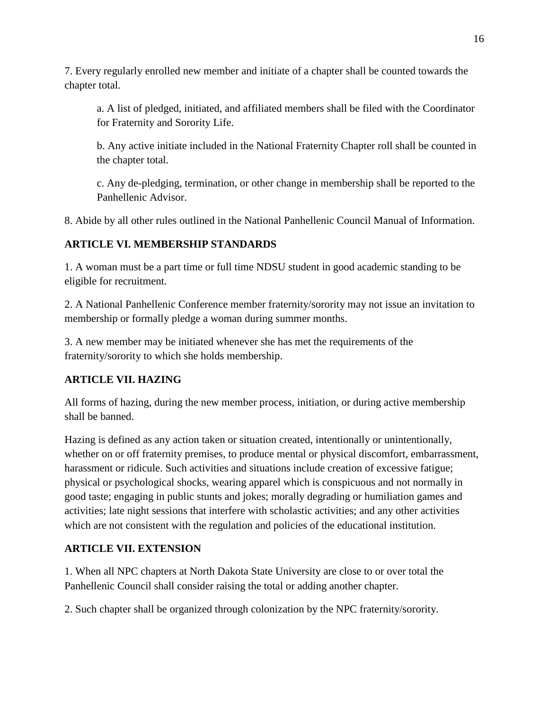7. Every regularly enrolled new member and initiate of a chapter shall be counted towards the chapter total.

a. A list of pledged, initiated, and affiliated members shall be filed with the Coordinator for Fraternity and Sorority Life.

b. Any active initiate included in the National Fraternity Chapter roll shall be counted in the chapter total.

c. Any de-pledging, termination, or other change in membership shall be reported to the Panhellenic Advisor.

8. Abide by all other rules outlined in the National Panhellenic Council Manual of Information.

# **ARTICLE VI. MEMBERSHIP STANDARDS**

1. A woman must be a part time or full time NDSU student in good academic standing to be eligible for recruitment.

2. A National Panhellenic Conference member fraternity/sorority may not issue an invitation to membership or formally pledge a woman during summer months.

3. A new member may be initiated whenever she has met the requirements of the fraternity/sorority to which she holds membership.

# **ARTICLE VII. HAZING**

All forms of hazing, during the new member process, initiation, or during active membership shall be banned.

Hazing is defined as any action taken or situation created, intentionally or unintentionally, whether on or off fraternity premises, to produce mental or physical discomfort, embarrassment, harassment or ridicule. Such activities and situations include creation of excessive fatigue; physical or psychological shocks, wearing apparel which is conspicuous and not normally in good taste; engaging in public stunts and jokes; morally degrading or humiliation games and activities; late night sessions that interfere with scholastic activities; and any other activities which are not consistent with the regulation and policies of the educational institution.

# **ARTICLE VII. EXTENSION**

1. When all NPC chapters at North Dakota State University are close to or over total the Panhellenic Council shall consider raising the total or adding another chapter.

2. Such chapter shall be organized through colonization by the NPC fraternity/sorority.